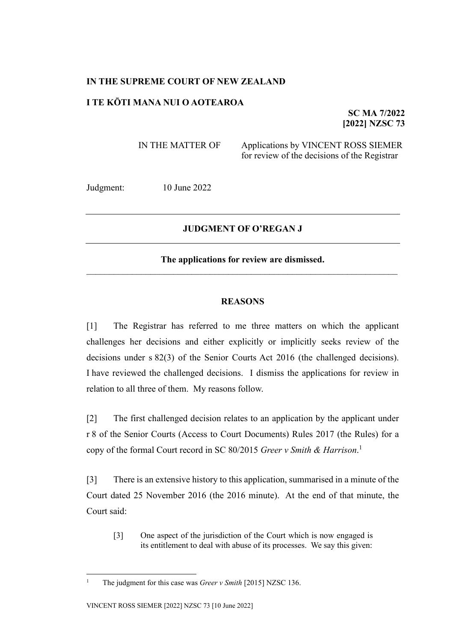## **IN THE SUPREME COURT OF NEW ZEALAND**

# **I TE KŌTI MANA NUI O AOTEAROA**

**SC MA 7/2022 [2022] NZSC 73**

IN THE MATTER OF Applications by VINCENT ROSS SIEMER for review of the decisions of the Registrar

Judgment: 10 June 2022

### **JUDGMENT OF O'REGAN J**

### **The applications for review are dismissed.**

#### **REASONS**

[1] The Registrar has referred to me three matters on which the applicant challenges her decisions and either explicitly or implicitly seeks review of the decisions under s 82(3) of the Senior Courts Act 2016 (the challenged decisions). I have reviewed the challenged decisions. I dismiss the applications for review in relation to all three of them. My reasons follow.

[2] The first challenged decision relates to an application by the applicant under r 8 of the Senior Courts (Access to Court Documents) Rules 2017 (the Rules) for a copy of the formal Court record in SC 80/2015 *Greer v Smith & Harrison*. 1

[3] There is an extensive history to this application, summarised in a minute of the Court dated 25 November 2016 (the 2016 minute). At the end of that minute, the Court said:

[3] One aspect of the jurisdiction of the Court which is now engaged is its entitlement to deal with abuse of its processes. We say this given:

<sup>&</sup>lt;sup>1</sup> The judgment for this case was *Greer v Smith* [2015] NZSC 136.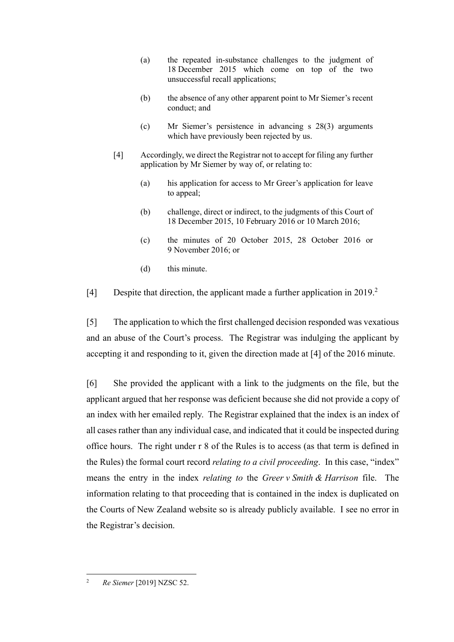- (a) the repeated in-substance challenges to the judgment of 18 December 2015 which come on top of the two unsuccessful recall applications;
- (b) the absence of any other apparent point to Mr Siemer's recent conduct; and
- (c) Mr Siemer's persistence in advancing s 28(3) arguments which have previously been rejected by us.
- [4] Accordingly, we direct the Registrar not to accept for filing any further application by Mr Siemer by way of, or relating to:
	- (a) his application for access to Mr Greer's application for leave to appeal;
	- (b) challenge, direct or indirect, to the judgments of this Court of 18 December 2015, 10 February 2016 or 10 March 2016;
	- (c) the minutes of 20 October 2015, 28 October 2016 or 9 November 2016; or
	- (d) this minute.

[4] Despite that direction, the applicant made a further application in 2019.<sup>2</sup>

[5] The application to which the first challenged decision responded was vexatious and an abuse of the Court's process. The Registrar was indulging the applicant by accepting it and responding to it, given the direction made at [4] of the 2016 minute.

[6] She provided the applicant with a link to the judgments on the file, but the applicant argued that her response was deficient because she did not provide a copy of an index with her emailed reply. The Registrar explained that the index is an index of all cases rather than any individual case, and indicated that it could be inspected during office hours. The right under r 8 of the Rules is to access (as that term is defined in the Rules) the formal court record *relating to a civil proceeding*. In this case, "index" means the entry in the index *relating to* the *Greer v Smith & Harrison* file. The information relating to that proceeding that is contained in the index is duplicated on the Courts of New Zealand website so is already publicly available. I see no error in the Registrar's decision.

<sup>2</sup> *Re Siemer* [2019] NZSC 52.